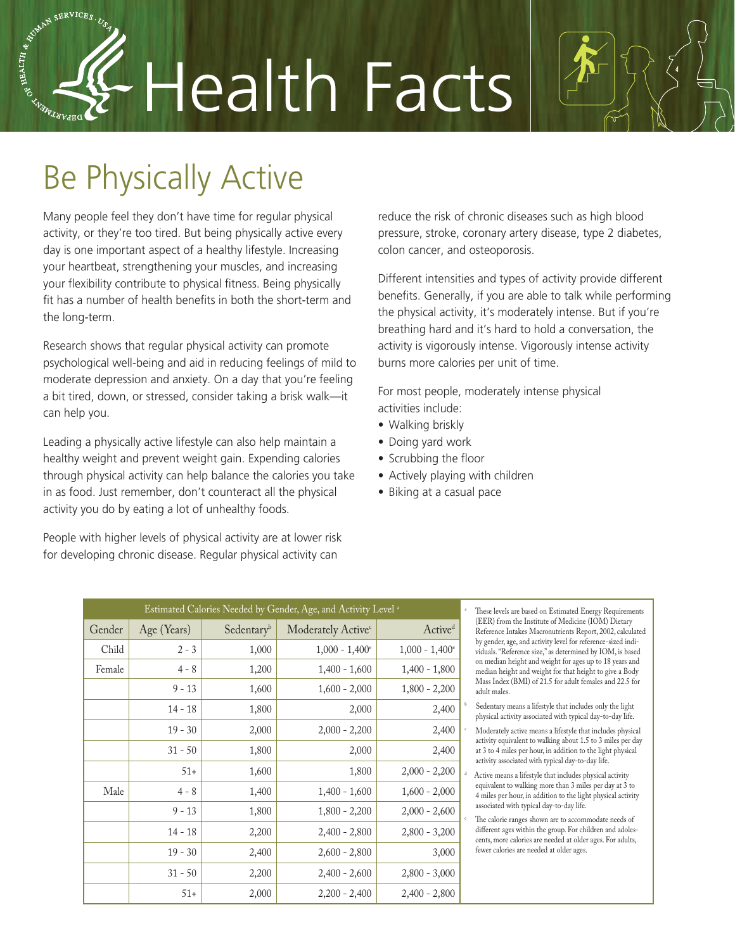# Health Facts

# Be Physically Active

ASSERVICES. USA SERVICES. USA

Many people feel they don't have time for regular physical activity, or they're too tired. But being physically active every day is one important aspect of a healthy lifestyle. Increasing your heartbeat, strengthening your muscles, and increasing your flexibility contribute to physical fitness. Being physically fit has a number of health benefits in both the short-term and the long-term.

Research shows that regular physical activity can promote psychological well-being and aid in reducing feelings of mild to moderate depression and anxiety. On a day that you're feeling a bit tired, down, or stressed, consider taking a brisk walk—it can help you.

Leading a physically active lifestyle can also help maintain a healthy weight and prevent weight gain. Expending calories through physical activity can help balance the calories you take in as food. Just remember, don't counteract all the physical activity you do by eating a lot of unhealthy foods.

People with higher levels of physical activity are at lower risk for developing chronic disease. Regular physical activity can

reduce the risk of chronic diseases such as high blood pressure, stroke, coronary artery disease, type 2 diabetes, colon cancer, and osteoporosis.

Different intensities and types of activity provide different benefits. Generally, if you are able to talk while performing the physical activity, it's moderately intense. But if you're breathing hard and it's hard to hold a conversation, the activity is vigorously intense. Vigorously intense activity burns more calories per unit of time.

For most people, moderately intense physical activities include:

- Walking briskly
- Doing yard work
- Scrubbing the floor
- Actively playing with children

b

• Biking at a casual pace

| Estimated Calories Needed by Gender, Age, and Activity Level <sup>a</sup> |             |            |                                |                              |  |
|---------------------------------------------------------------------------|-------------|------------|--------------------------------|------------------------------|--|
| Gender                                                                    | Age (Years) | Sedentaryb | Moderately Active <sup>c</sup> | Active <sup>d</sup>          |  |
| Child                                                                     | $2 - 3$     | 1,000      | $1,000 - 1,400^{\circ}$        | $1,000 - 1,400$ <sup>e</sup> |  |
| Female                                                                    | $4 - 8$     | 1,200      | $1,400 - 1,600$                | $1,400 - 1,800$              |  |
|                                                                           | $9 - 13$    | 1,600      | $1,600 - 2,000$                | $1,800 - 2,200$              |  |
|                                                                           | $14 - 18$   | 1,800      | 2,000                          | 2,400                        |  |
|                                                                           | $19 - 30$   | 2,000      | $2,000 - 2,200$                | 2,400                        |  |
|                                                                           | $31 - 50$   | 1,800      | 2,000                          | 2,400                        |  |
|                                                                           | $51+$       | 1,600      | 1,800                          | $2,000 - 2,200$              |  |
| Male                                                                      | $4 - 8$     | 1,400      | $1,400 - 1,600$                | $1,600 - 2,000$              |  |
|                                                                           | $9 - 13$    | 1,800      | $1,800 - 2,200$                | $2,000 - 2,600$              |  |
|                                                                           | $14 - 18$   | 2,200      | $2,400 - 2,800$                | $2,800 - 3,200$              |  |
|                                                                           | $19 - 30$   | 2,400      | $2,600 - 2,800$                | 3,000                        |  |
|                                                                           | $31 - 50$   | 2,200      | $2,400 - 2,600$                | $2,800 - 3,000$              |  |
|                                                                           | $51+$       | 2,000      | $2,200 - 2,400$                | $2,400 - 2,800$              |  |

 These levels are based on Estimated Energy Requirements (EER) from the Institute of Medicine (IOM) Dietary Reference Intakes Macronutrients Report, 2002, calculated by gender, age, and activity level for reference-sized individuals. "Reference size," as determined by IOM, is based on median height and weight for ages up to 18 years and median height and weight for that height to give a Body Mass Index (BMI) of 21.5 for adult females and 22.5 for adult males.

 Sedentary means a lifestyle that includes only the light physical activity associated with typical day-to-day life.

 Moderately active means a lifestyle that includes physical activity equivalent to walking about 1.5 to 3 miles per day at 3 to 4 miles per hour, in addition to the light physical activity associated with typical day-to-day life.

d Active means a lifestyle that includes physical activity equivalent to walking more than 3 miles per day at 3 to 4 miles per hour, in addition to the light physical activity associated with typical day-to-day life.

 The calorie ranges shown are to accommodate needs of different ages within the group. For children and adolescents, more calories are needed at older ages. For adults, fewer calories are needed at older ages.